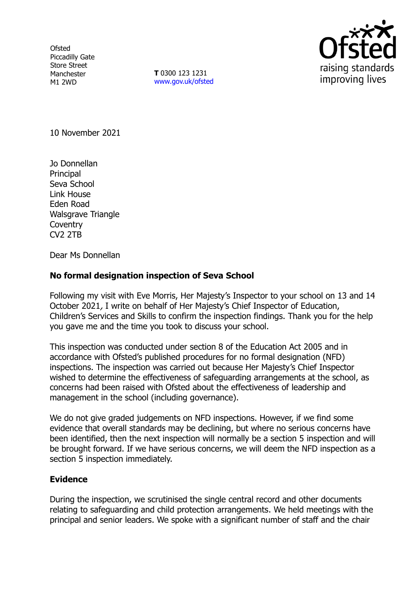**Ofsted** Piccadilly Gate Store Street Manchester M1 2WD

**T** 0300 123 1231 [www.gov.uk/ofsted](http://www.gov.uk/ofsted)



10 November 2021

Jo Donnellan Principal Seva School Link House Eden Road Walsgrave Triangle **Coventry** CV2 2TB

Dear Ms Donnellan

# **No formal designation inspection of Seva School**

Following my visit with Eve Morris, Her Majesty's Inspector to your school on 13 and 14 October 2021, I write on behalf of Her Majesty's Chief Inspector of Education, Children's Services and Skills to confirm the inspection findings. Thank you for the help you gave me and the time you took to discuss your school.

This inspection was conducted under section 8 of the Education Act 2005 and in accordance with Ofsted's published procedures for no formal designation (NFD) inspections. The inspection was carried out because Her Majesty's Chief Inspector wished to determine the effectiveness of safeguarding arrangements at the school, as concerns had been raised with Ofsted about the effectiveness of leadership and management in the school (including governance).

We do not give graded judgements on NFD inspections. However, if we find some evidence that overall standards may be declining, but where no serious concerns have been identified, then the next inspection will normally be a section 5 inspection and will be brought forward. If we have serious concerns, we will deem the NFD inspection as a section 5 inspection immediately.

# **Evidence**

During the inspection, we scrutinised the single central record and other documents relating to safeguarding and child protection arrangements. We held meetings with the principal and senior leaders. We spoke with a significant number of staff and the chair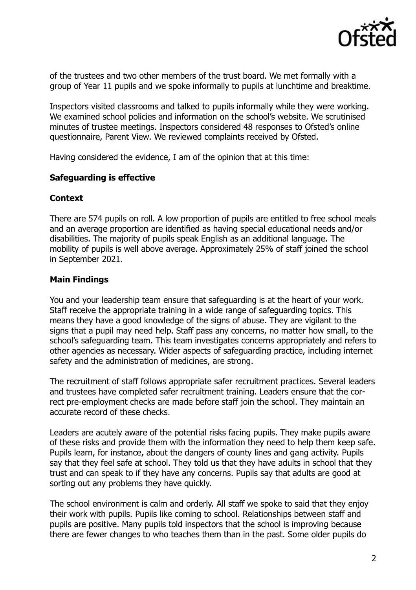

of the trustees and two other members of the trust board. We met formally with a group of Year 11 pupils and we spoke informally to pupils at lunchtime and breaktime.

Inspectors visited classrooms and talked to pupils informally while they were working. We examined school policies and information on the school's website. We scrutinised minutes of trustee meetings. Inspectors considered 48 responses to Ofsted's online questionnaire, Parent View. We reviewed complaints received by Ofsted.

Having considered the evidence, I am of the opinion that at this time:

# **Safeguarding is effective**

#### **Context**

There are 574 pupils on roll. A low proportion of pupils are entitled to free school meals and an average proportion are identified as having special educational needs and/or disabilities. The majority of pupils speak English as an additional language. The mobility of pupils is well above average. Approximately 25% of staff joined the school in September 2021.

# **Main Findings**

You and your leadership team ensure that safeguarding is at the heart of your work. Staff receive the appropriate training in a wide range of safeguarding topics. This means they have a good knowledge of the signs of abuse. They are vigilant to the signs that a pupil may need help. Staff pass any concerns, no matter how small, to the school's safeguarding team. This team investigates concerns appropriately and refers to other agencies as necessary. Wider aspects of safeguarding practice, including internet safety and the administration of medicines, are strong.

The recruitment of staff follows appropriate safer recruitment practices. Several leaders and trustees have completed safer recruitment training. Leaders ensure that the correct pre-employment checks are made before staff join the school. They maintain an accurate record of these checks.

Leaders are acutely aware of the potential risks facing pupils. They make pupils aware of these risks and provide them with the information they need to help them keep safe. Pupils learn, for instance, about the dangers of county lines and gang activity. Pupils say that they feel safe at school. They told us that they have adults in school that they trust and can speak to if they have any concerns. Pupils say that adults are good at sorting out any problems they have quickly.

The school environment is calm and orderly. All staff we spoke to said that they enjoy their work with pupils. Pupils like coming to school. Relationships between staff and pupils are positive. Many pupils told inspectors that the school is improving because there are fewer changes to who teaches them than in the past. Some older pupils do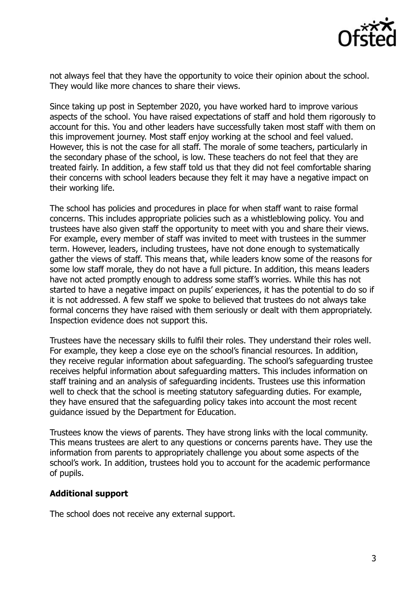

not always feel that they have the opportunity to voice their opinion about the school. They would like more chances to share their views.

Since taking up post in September 2020, you have worked hard to improve various aspects of the school. You have raised expectations of staff and hold them rigorously to account for this. You and other leaders have successfully taken most staff with them on this improvement journey. Most staff enjoy working at the school and feel valued. However, this is not the case for all staff. The morale of some teachers, particularly in the secondary phase of the school, is low. These teachers do not feel that they are treated fairly. In addition, a few staff told us that they did not feel comfortable sharing their concerns with school leaders because they felt it may have a negative impact on their working life.

The school has policies and procedures in place for when staff want to raise formal concerns. This includes appropriate policies such as a whistleblowing policy. You and trustees have also given staff the opportunity to meet with you and share their views. For example, every member of staff was invited to meet with trustees in the summer term. However, leaders, including trustees, have not done enough to systematically gather the views of staff. This means that, while leaders know some of the reasons for some low staff morale, they do not have a full picture. In addition, this means leaders have not acted promptly enough to address some staff's worries. While this has not started to have a negative impact on pupils' experiences, it has the potential to do so if it is not addressed. A few staff we spoke to believed that trustees do not always take formal concerns they have raised with them seriously or dealt with them appropriately. Inspection evidence does not support this.

Trustees have the necessary skills to fulfil their roles. They understand their roles well. For example, they keep a close eye on the school's financial resources. In addition, they receive regular information about safeguarding. The school's safeguarding trustee receives helpful information about safeguarding matters. This includes information on staff training and an analysis of safeguarding incidents. Trustees use this information well to check that the school is meeting statutory safeguarding duties. For example, they have ensured that the safeguarding policy takes into account the most recent guidance issued by the Department for Education.

Trustees know the views of parents. They have strong links with the local community. This means trustees are alert to any questions or concerns parents have. They use the information from parents to appropriately challenge you about some aspects of the school's work. In addition, trustees hold you to account for the academic performance of pupils.

#### **Additional support**

The school does not receive any external support.